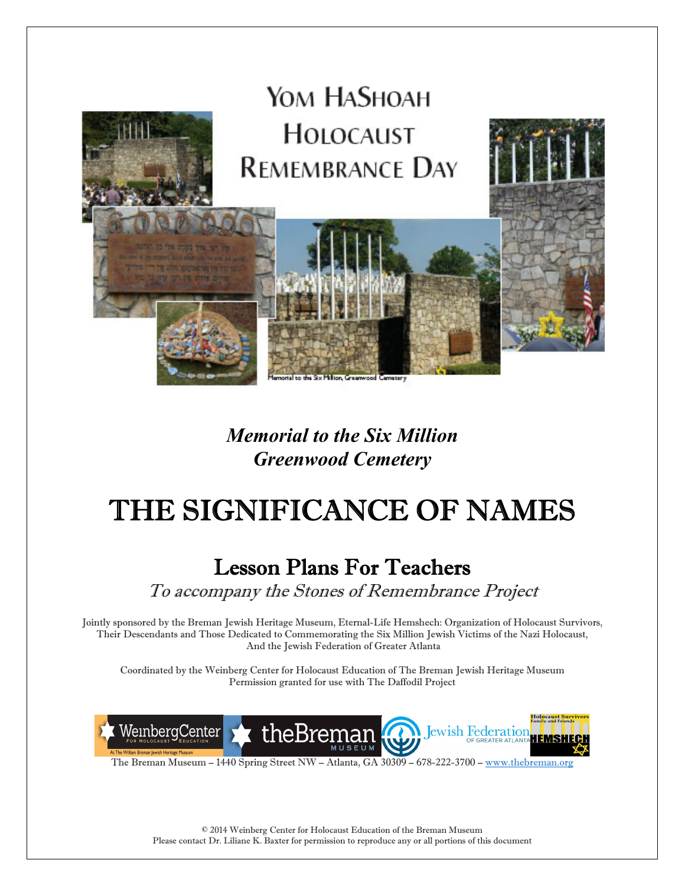

# *Memorial to the Six Million Greenwood Cemetery*

# THE SIGNIFICANCE OF NAMES

# Lesson Plans For Teachers

To accompany the Stones of Remembrance Project

Jointly sponsored by the Breman Jewish Heritage Museum, Eternal-Life Hemshech: Organization of Holocaust Survivors, Their Descendants and Those Dedicated to Commemorating the Six Million Jewish Victims of the Nazi Holocaust, And the Jewish Federation of Greater Atlanta

Coordinated by the Weinberg Center for Holocaust Education of The Breman Jewish Heritage Museum Permission granted for use with The Daffodil Project



The Breman Museum – 1440 Spring Street NW – Atlanta, GA 30309 – 678-222-3700 – www.thebreman.org

© 2014 Weinberg Center for Holocaust Education of the Breman Museum Please contact Dr. Liliane K. Baxter for permission to reproduce any or all portions of this document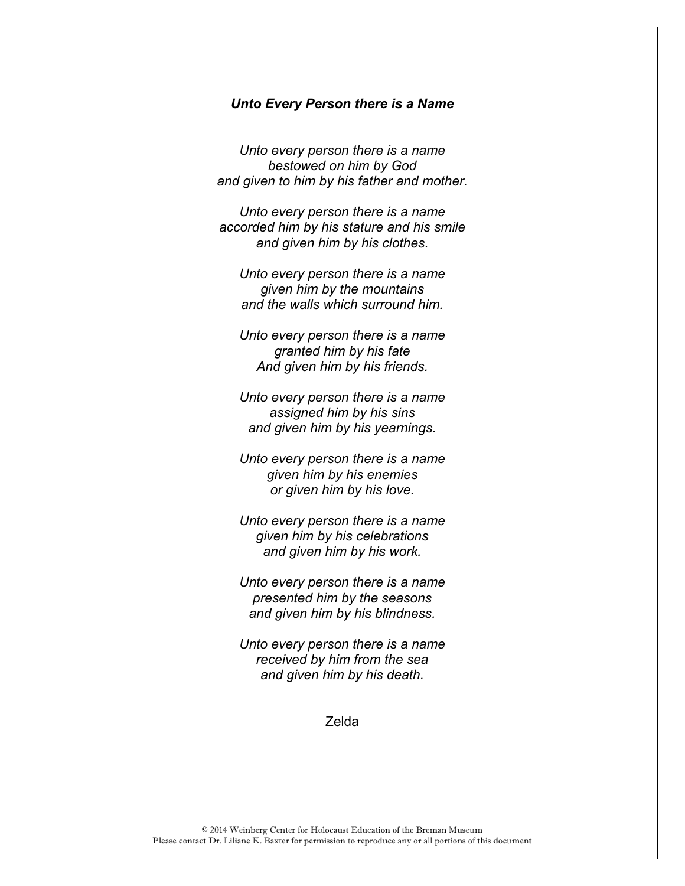#### *Unto Every Person there is a Name*

*Unto every person there is a name bestowed on him by God and given to him by his father and mother.* 

*Unto every person there is a name accorded him by his stature and his smile and given him by his clothes.* 

*Unto every person there is a name given him by the mountains and the walls which surround him.* 

*Unto every person there is a name granted him by his fate And given him by his friends.* 

*Unto every person there is a name assigned him by his sins and given him by his yearnings.* 

*Unto every person there is a name given him by his enemies or given him by his love.* 

*Unto every person there is a name given him by his celebrations and given him by his work.* 

*Unto every person there is a name presented him by the seasons and given him by his blindness.* 

*Unto every person there is a name received by him from the sea and given him by his death.* 

Zelda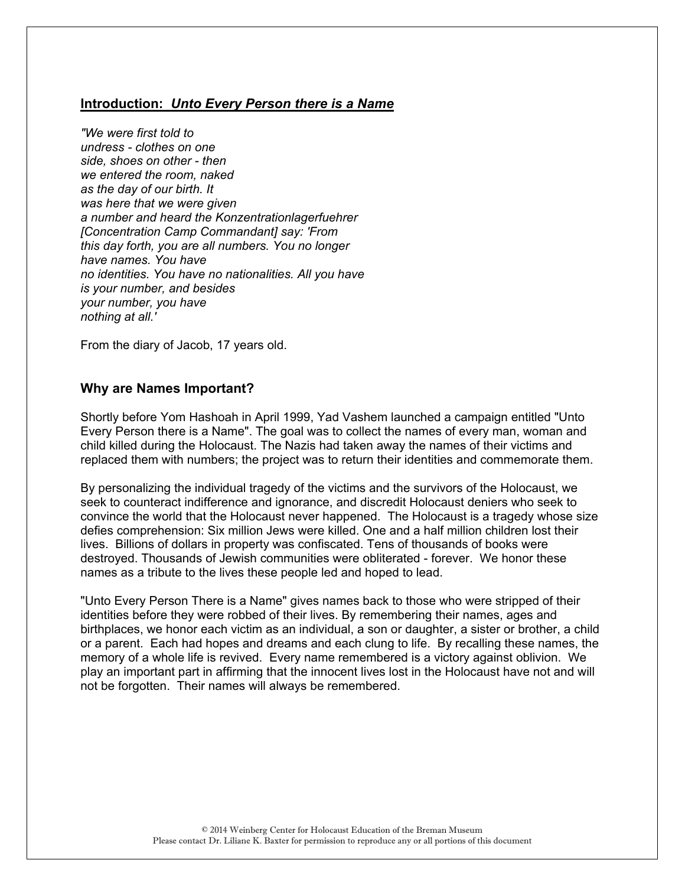## **Introduction:** *Unto Every Person there is a Name*

*"We were first told to undress - clothes on one side, shoes on other - then we entered the room, naked as the day of our birth. It was here that we were given a number and heard the Konzentrationlagerfuehrer [Concentration Camp Commandant] say: 'From this day forth, you are all numbers. You no longer have names. You have no identities. You have no nationalities. All you have is your number, and besides your number, you have nothing at all.'* 

From the diary of Jacob, 17 years old.

### **Why are Names Important?**

Shortly before Yom Hashoah in April 1999, Yad Vashem launched a campaign entitled "Unto Every Person there is a Name". The goal was to collect the names of every man, woman and child killed during the Holocaust. The Nazis had taken away the names of their victims and replaced them with numbers; the project was to return their identities and commemorate them.

By personalizing the individual tragedy of the victims and the survivors of the Holocaust, we seek to counteract indifference and ignorance, and discredit Holocaust deniers who seek to convince the world that the Holocaust never happened. The Holocaust is a tragedy whose size defies comprehension: Six million Jews were killed. One and a half million children lost their lives. Billions of dollars in property was confiscated. Tens of thousands of books were destroyed. Thousands of Jewish communities were obliterated - forever. We honor these names as a tribute to the lives these people led and hoped to lead.

"Unto Every Person There is a Name" gives names back to those who were stripped of their identities before they were robbed of their lives. By remembering their names, ages and birthplaces, we honor each victim as an individual, a son or daughter, a sister or brother, a child or a parent. Each had hopes and dreams and each clung to life. By recalling these names, the memory of a whole life is revived. Every name remembered is a victory against oblivion. We play an important part in affirming that the innocent lives lost in the Holocaust have not and will not be forgotten. Their names will always be remembered.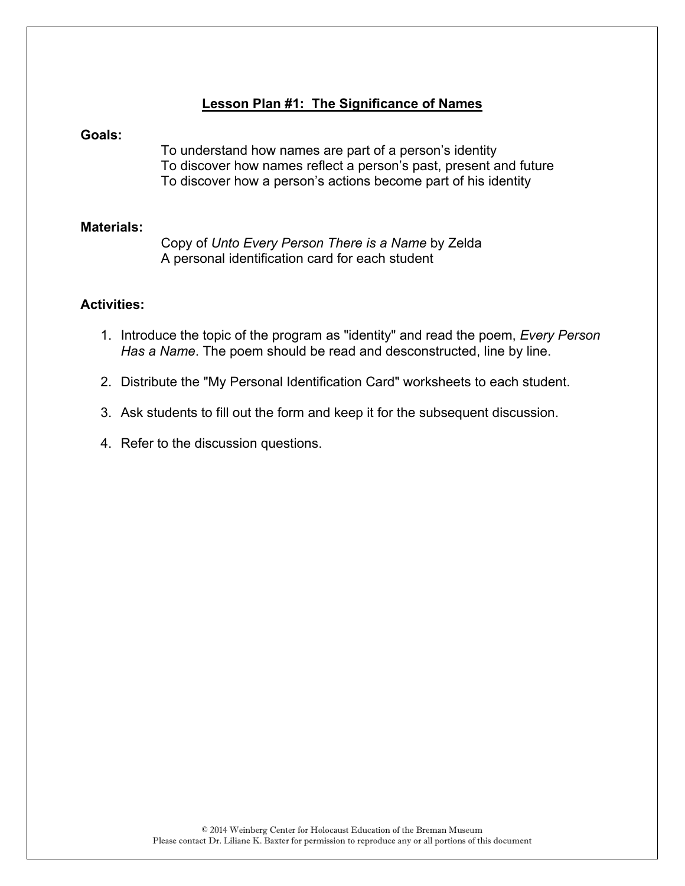# **Lesson Plan #1: The Significance of Names**

#### **Goals:**

To understand how names are part of a person's identity To discover how names reflect a person's past, present and future To discover how a person's actions become part of his identity

#### **Materials:**

 Copy of *Unto Every Person There is a Name* by Zelda A personal identification card for each student

# **Activities:**

- 1. Introduce the topic of the program as "identity" and read the poem, *Every Person Has a Name*. The poem should be read and desconstructed, line by line.
- 2. Distribute the "My Personal Identification Card" worksheets to each student.
- 3. Ask students to fill out the form and keep it for the subsequent discussion.
- 4. Refer to the discussion questions.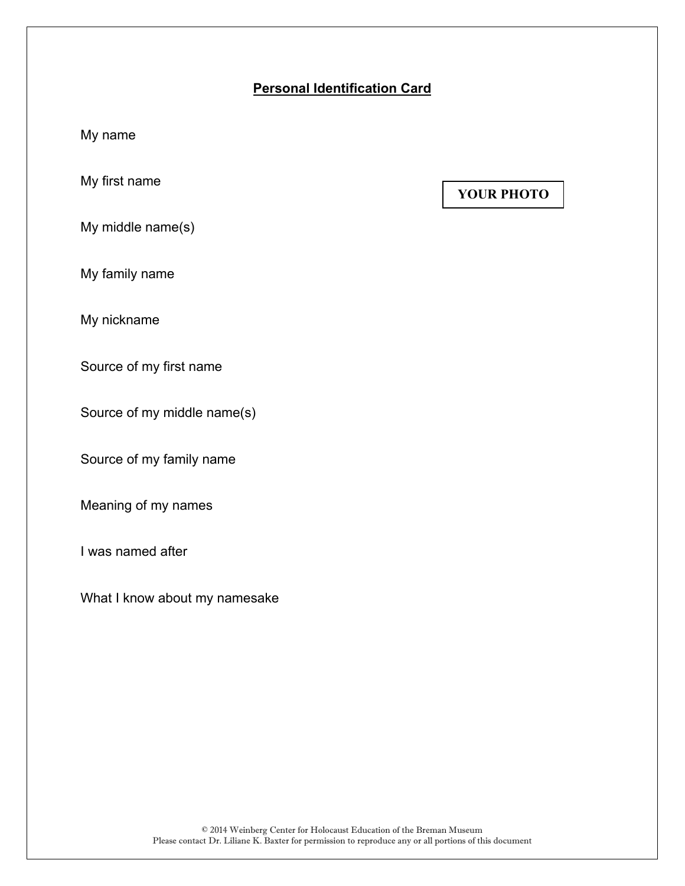# **Personal Identification Card**

My name

My first name

**YOUR PHOTO** 

My middle name(s)

My family name

My nickname

Source of my first name

Source of my middle name(s)

Source of my family name

Meaning of my names

I was named after

What I know about my namesake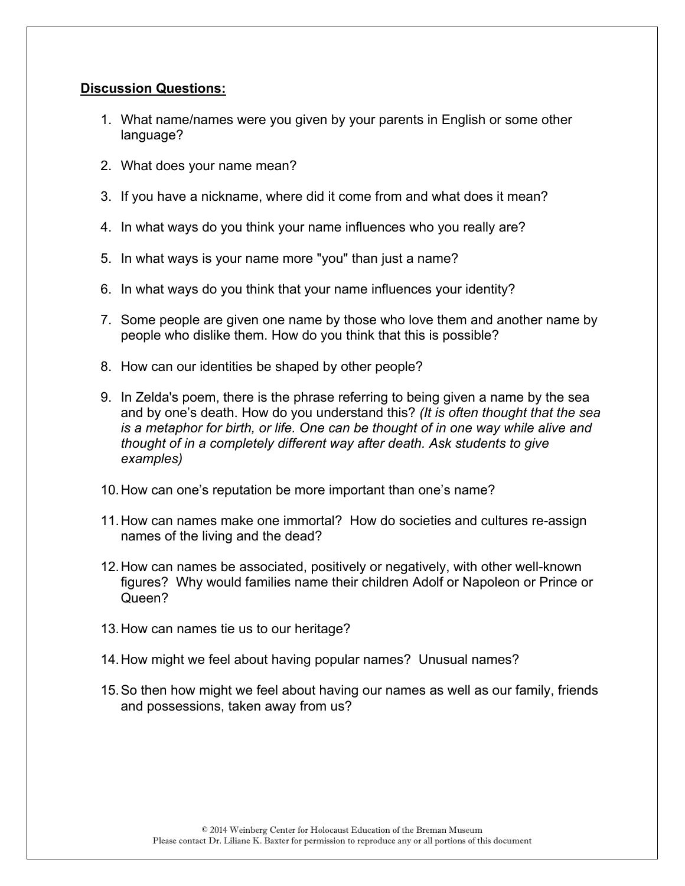# **Discussion Questions:**

- 1. What name/names were you given by your parents in English or some other language?
- 2. What does your name mean?
- 3. If you have a nickname, where did it come from and what does it mean?
- 4. In what ways do you think your name influences who you really are?
- 5. In what ways is your name more "you" than just a name?
- 6. In what ways do you think that your name influences your identity?
- 7. Some people are given one name by those who love them and another name by people who dislike them. How do you think that this is possible?
- 8. How can our identities be shaped by other people?
- 9. In Zelda's poem, there is the phrase referring to being given a name by the sea and by one's death. How do you understand this? *(It is often thought that the sea is a metaphor for birth, or life. One can be thought of in one way while alive and thought of in a completely different way after death. Ask students to give examples)*
- 10. How can one's reputation be more important than one's name?
- 11. How can names make one immortal? How do societies and cultures re-assign names of the living and the dead?
- 12. How can names be associated, positively or negatively, with other well-known figures? Why would families name their children Adolf or Napoleon or Prince or Queen?
- 13. How can names tie us to our heritage?
- 14. How might we feel about having popular names? Unusual names?
- 15. So then how might we feel about having our names as well as our family, friends and possessions, taken away from us?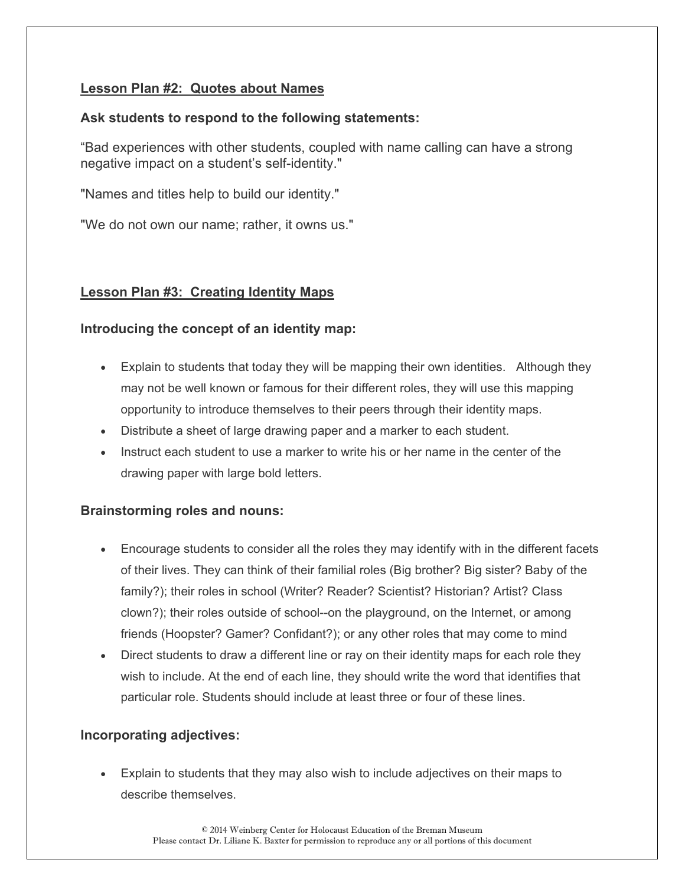# **Lesson Plan #2: Quotes about Names**

# **Ask students to respond to the following statements:**

"Bad experiences with other students, coupled with name calling can have a strong negative impact on a student's self-identity."

"Names and titles help to build our identity."

"We do not own our name; rather, it owns us."

# **Lesson Plan #3: Creating Identity Maps**

# **Introducing the concept of an identity map:**

- Explain to students that today they will be mapping their own identities. Although they may not be well known or famous for their different roles, they will use this mapping opportunity to introduce themselves to their peers through their identity maps.
- Distribute a sheet of large drawing paper and a marker to each student.
- Instruct each student to use a marker to write his or her name in the center of the drawing paper with large bold letters.

# **Brainstorming roles and nouns:**

- Encourage students to consider all the roles they may identify with in the different facets of their lives. They can think of their familial roles (Big brother? Big sister? Baby of the family?); their roles in school (Writer? Reader? Scientist? Historian? Artist? Class clown?); their roles outside of school--on the playground, on the Internet, or among friends (Hoopster? Gamer? Confidant?); or any other roles that may come to mind
- Direct students to draw a different line or ray on their identity maps for each role they wish to include. At the end of each line, they should write the word that identifies that particular role. Students should include at least three or four of these lines.

# **Incorporating adjectives:**

 Explain to students that they may also wish to include adjectives on their maps to describe themselves.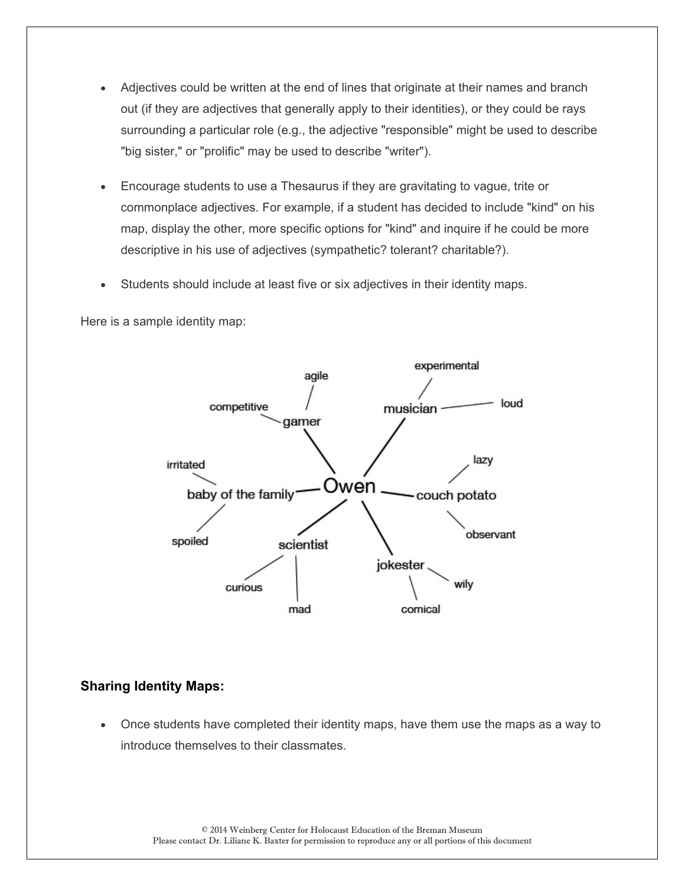- Adjectives could be written at the end of lines that originate at their names and branch out (if they are adjectives that generally apply to their identities), or they could be rays surrounding a particular role (e.g., the adjective "responsible" might be used to describe "big sister," or "prolific" may be used to describe "writer").
- Encourage students to use a Thesaurus if they are gravitating to vague, trite or commonplace adjectives. For example, if a student has decided to include "kind" on his map, display the other, more specific options for "kind" and inquire if he could be more descriptive in his use of adjectives (sympathetic? tolerant? charitable?).
- Students should include at least five or six adjectives in their identity maps.

Here is a sample identity map:



### **Sharing Identity Maps:**

 Once students have completed their identity maps, have them use the maps as a way to introduce themselves to their classmates.

© 2014 Weinberg Center for Holocaust Education of the Breman Museum Please contact Dr. Liliane K. Baxter for permission to reproduce any or all portions of this document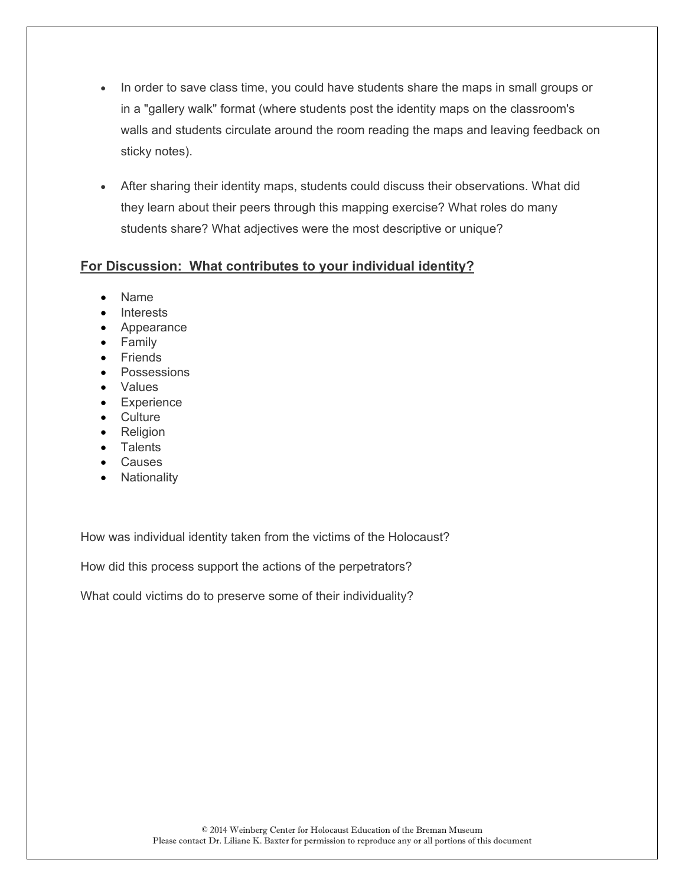- In order to save class time, you could have students share the maps in small groups or in a "gallery walk" format (where students post the identity maps on the classroom's walls and students circulate around the room reading the maps and leaving feedback on sticky notes).
- After sharing their identity maps, students could discuss their observations. What did they learn about their peers through this mapping exercise? What roles do many students share? What adjectives were the most descriptive or unique?

# **For Discussion: What contributes to your individual identity?**

- Name
- Interests
- Appearance
- Family
- Friends
- Possessions
- Values
- **•** Experience
- Culture
- Religion
- Talents
- Causes
- Nationality

How was individual identity taken from the victims of the Holocaust?

How did this process support the actions of the perpetrators?

What could victims do to preserve some of their individuality?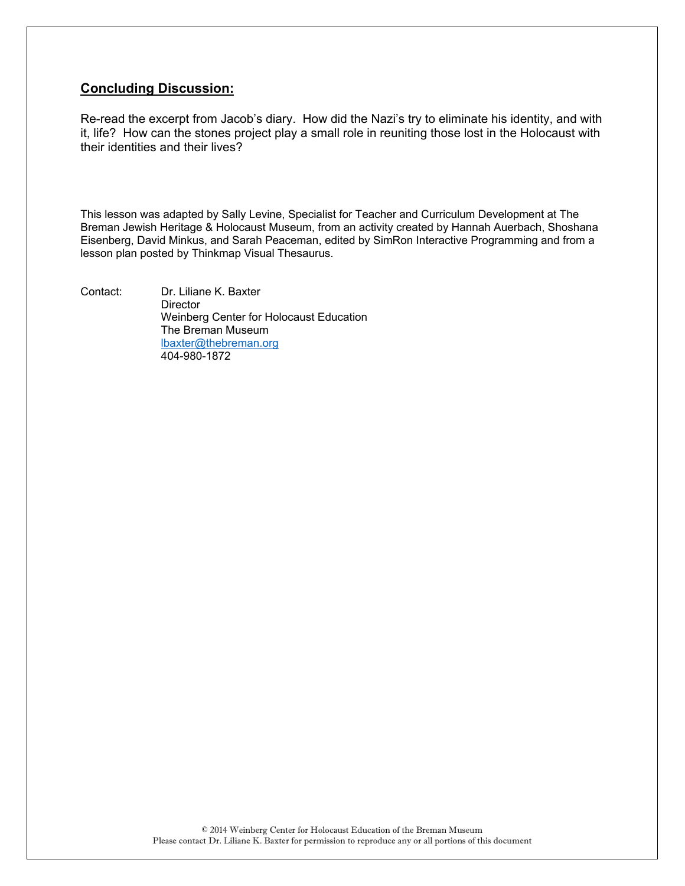# **Concluding Discussion:**

Re-read the excerpt from Jacob's diary. How did the Nazi's try to eliminate his identity, and with it, life? How can the stones project play a small role in reuniting those lost in the Holocaust with their identities and their lives?

This lesson was adapted by Sally Levine, Specialist for Teacher and Curriculum Development at The Breman Jewish Heritage & Holocaust Museum, from an activity created by Hannah Auerbach, Shoshana Eisenberg, David Minkus, and Sarah Peaceman, edited by SimRon Interactive Programming and from a lesson plan posted by Thinkmap Visual Thesaurus.

Contact: Dr. Liliane K. Baxter **Director**  Weinberg Center for Holocaust Education The Breman Museum lbaxter@thebreman.org 404-980-1872